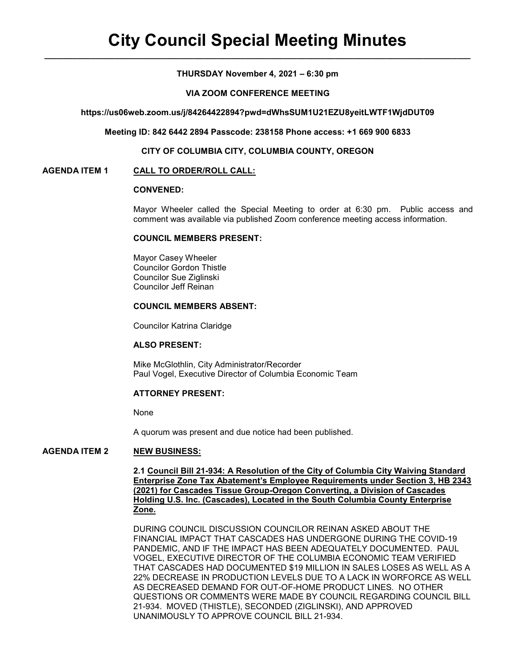### THURSDAY November 4, 2021 – 6:30 pm

### VIA ZOOM CONFERENCE MEETING

https://us06web.zoom.us/j/84264422894?pwd=dWhsSUM1U21EZU8yeitLWTF1WjdDUT09

Meeting ID: 842 6442 2894 Passcode: 238158 Phone access: +1 669 900 6833

#### CITY OF COLUMBIA CITY, COLUMBIA COUNTY, OREGON

#### AGENDA ITEM 1 CALL TO ORDER/ROLL CALL:

# CONVENED:

Mayor Wheeler called the Special Meeting to order at 6:30 pm. Public access and comment was available via published Zoom conference meeting access information.

### COUNCIL MEMBERS PRESENT:

 Mayor Casey Wheeler Councilor Gordon Thistle Councilor Sue Ziglinski Councilor Jeff Reinan

# COUNCIL MEMBERS ABSENT:

Councilor Katrina Claridge

### ALSO PRESENT:

Mike McGlothlin, City Administrator/Recorder Paul Vogel, Executive Director of Columbia Economic Team

### ATTORNEY PRESENT:

None

A quorum was present and due notice had been published.

### AGENDA ITEM 2 NEW BUSINESS:

2.1 Council Bill 21-934: A Resolution of the City of Columbia City Waiving Standard Enterprise Zone Tax Abatement's Employee Requirements under Section 3, HB 2343 (2021) for Cascades Tissue Group-Oregon Converting, a Division of Cascades Holding U.S. Inc. (Cascades), Located in the South Columbia County Enterprise Zone.

 DURING COUNCIL DISCUSSION COUNCILOR REINAN ASKED ABOUT THE FINANCIAL IMPACT THAT CASCADES HAS UNDERGONE DURING THE COVID-19 PANDEMIC, AND IF THE IMPACT HAS BEEN ADEQUATELY DOCUMENTED. PAUL VOGEL, EXECUTIVE DIRECTOR OF THE COLUMBIA ECONOMIC TEAM VERIFIED THAT CASCADES HAD DOCUMENTED \$19 MILLION IN SALES LOSES AS WELL AS A 22% DECREASE IN PRODUCTION LEVELS DUE TO A LACK IN WORFORCE AS WELL AS DECREASED DEMAND FOR OUT-OF-HOME PRODUCT LINES. NO OTHER QUESTIONS OR COMMENTS WERE MADE BY COUNCIL REGARDING COUNCIL BILL 21-934. MOVED (THISTLE), SECONDED (ZIGLINSKI), AND APPROVED UNANIMOUSLY TO APPROVE COUNCIL BILL 21-934.